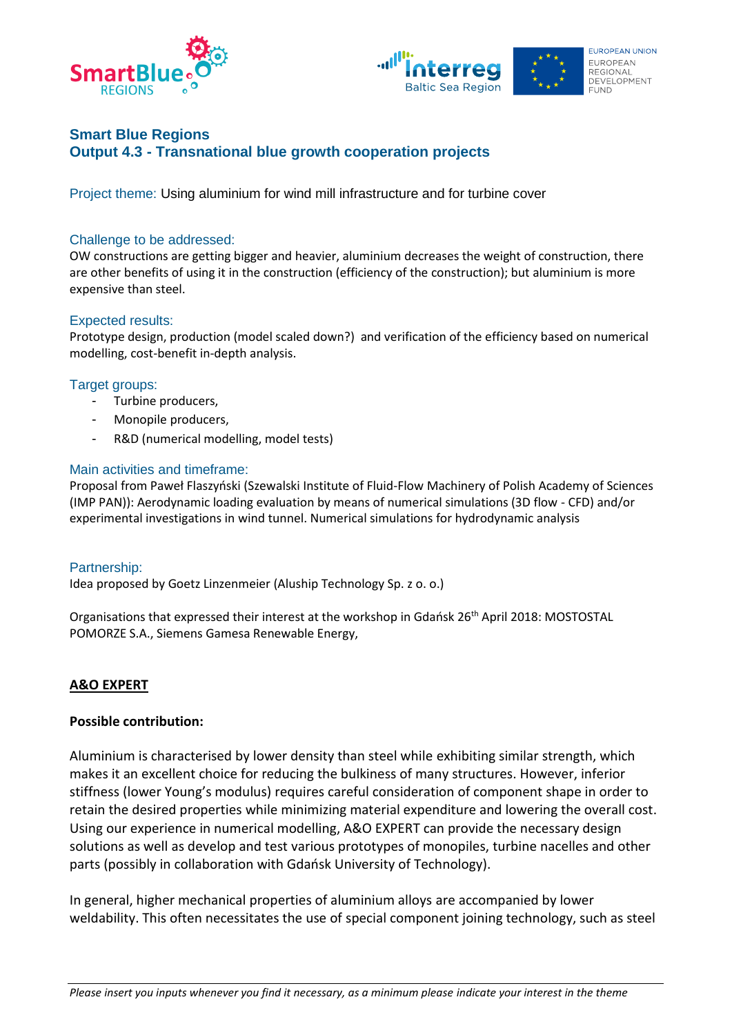



# **Smart Blue Regions Output 4.3 - Transnational blue growth cooperation projects**

Project theme: Using aluminium for wind mill infrastructure and for turbine cover

## Challenge to be addressed:

OW constructions are getting bigger and heavier, aluminium decreases the weight of construction, there are other benefits of using it in the construction (efficiency of the construction); but aluminium is more expensive than steel.

## Expected results:

Prototype design, production (model scaled down?) and verification of the efficiency based on numerical modelling, cost-benefit in-depth analysis.

## Target groups:

- Turbine producers,
- Monopile producers,
- R&D (numerical modelling, model tests)

## Main activities and timeframe:

Proposal from Paweł Flaszyński (Szewalski Institute of Fluid-Flow Machinery of Polish Academy of Sciences (IMP PAN)): Aerodynamic loading evaluation by means of numerical simulations (3D flow - CFD) and/or experimental investigations in wind tunnel. Numerical simulations for hydrodynamic analysis

#### Partnership:

Idea proposed by Goetz Linzenmeier (Aluship Technology Sp. z o. o.)

Organisations that expressed their interest at the workshop in Gdańsk 26th April 2018: MOSTOSTAL POMORZE S.A., Siemens Gamesa Renewable Energy,

# **A&O EXPERT**

#### **Possible contribution:**

Aluminium is characterised by lower density than steel while exhibiting similar strength, which makes it an excellent choice for reducing the bulkiness of many structures. However, inferior stiffness (lower Young's modulus) requires careful consideration of component shape in order to retain the desired properties while minimizing material expenditure and lowering the overall cost. Using our experience in numerical modelling, A&O EXPERT can provide the necessary design solutions as well as develop and test various prototypes of monopiles, turbine nacelles and other parts (possibly in collaboration with Gdańsk University of Technology).

In general, higher mechanical properties of aluminium alloys are accompanied by lower weldability. This often necessitates the use of special component joining technology, such as steel